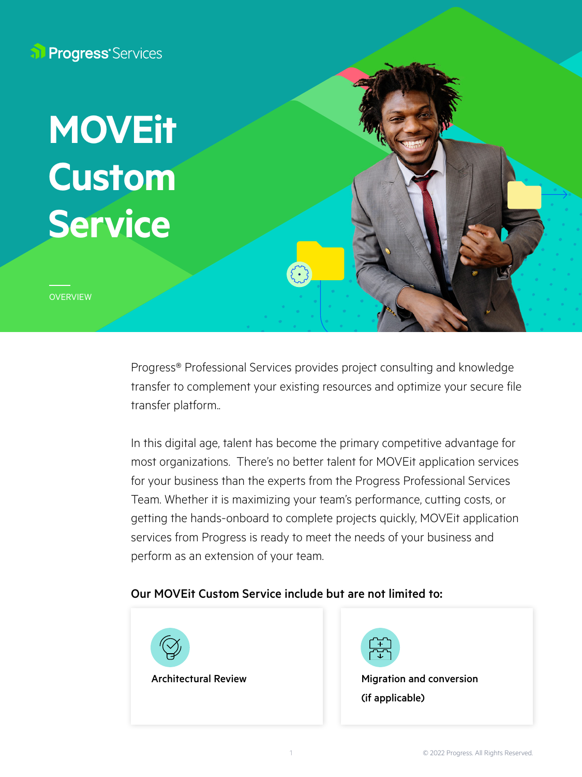**Progress** Services

# Service 2 (1 line maximum) **MOVEit Custom Service**

**OVERVIEW** 

Progress® Professional Services provides project consulting and knowledge transfer to complement your existing resources and optimize your secure file transfer platform..

In this digital age, talent has become the primary competitive advantage for most organizations. There's no better talent for MOVEit application services for your business than the experts from the Progress Professional Services Team. Whether it is maximizing your team's performance, cutting costs, or getting the hands-onboard to complete projects quickly, MOVEit application services from Progress is ready to meet the needs of your business and perform as an extension of your team.

### Our MOVEit Custom Service include but are not limited to: